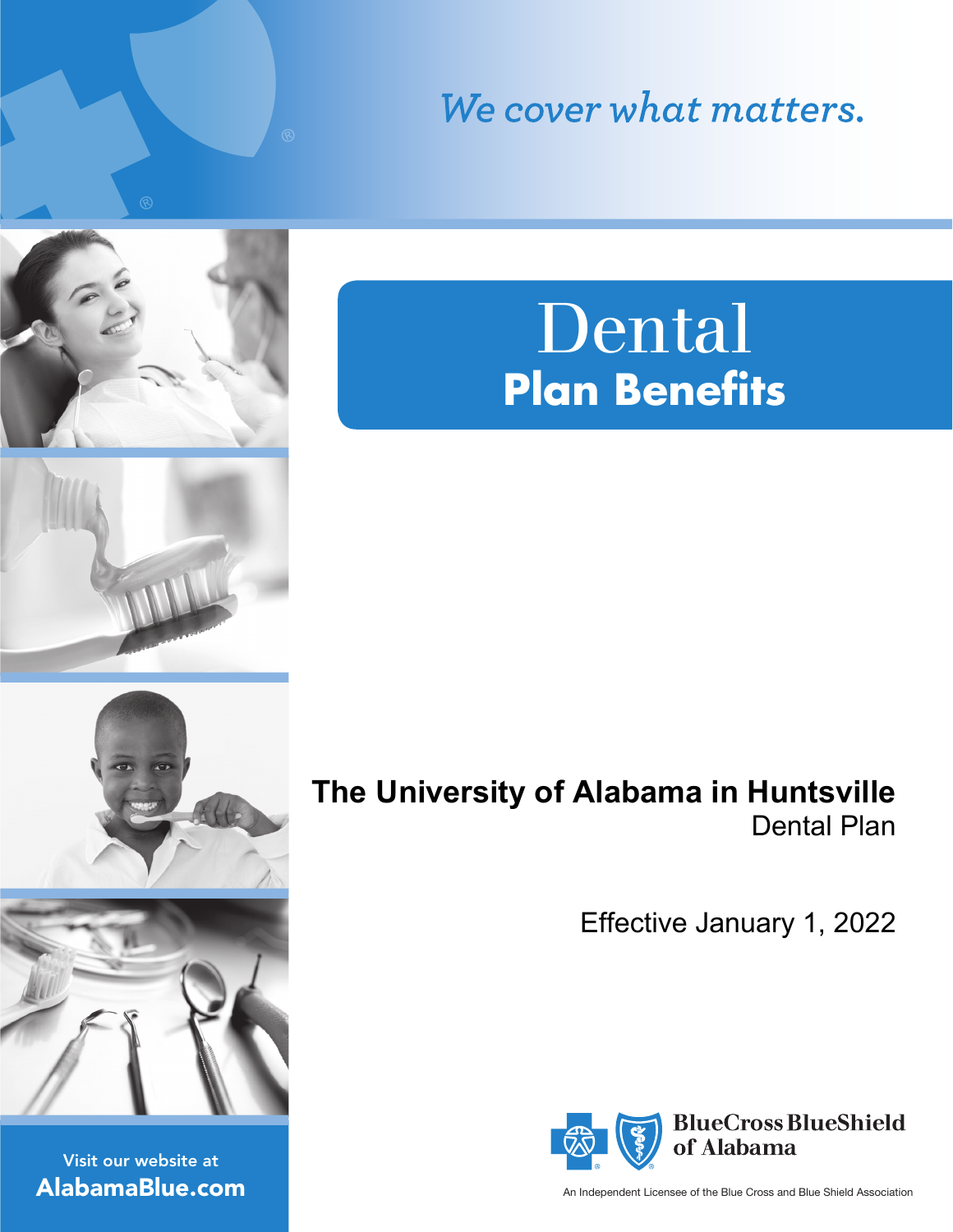We cover what matters.

# **Plan Benefits** Dental





Visit our website at AlabamaBlue.com **The University of Alabama in Huntsville** Dental Plan

Effective January 1, 2022



An Independent Licensee of the Blue Cross and Blue Shield Association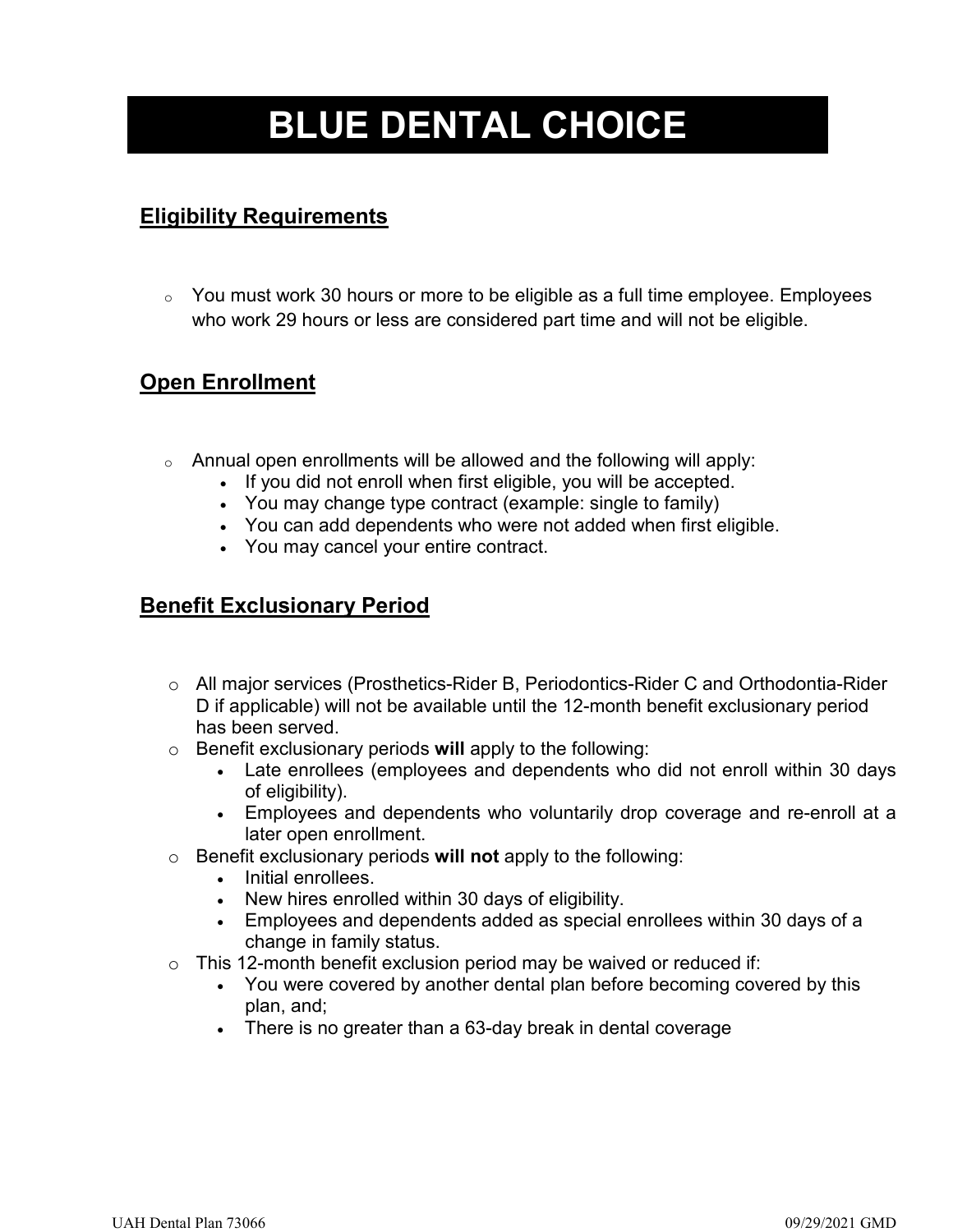## **BLUE DENTAL CHOICE**

### **Eligibility Requirements**

o You must work 30 hours or more to be eligible as a full time employee. Employees who work 29 hours or less are considered part time and will not be eligible.

### **Open Enrollment**

- $\circ$  Annual open enrollments will be allowed and the following will apply:
	- If you did not enroll when first eligible, you will be accepted.
	- You may change type contract (example: single to family)
	- You can add dependents who were not added when first eligible.
	- You may cancel your entire contract.

### **Benefit Exclusionary Period**

- o All major services (Prosthetics-Rider B, Periodontics-Rider C and Orthodontia-Rider D if applicable) will not be available until the 12-month benefit exclusionary period has been served.
- o Benefit exclusionary periods **will** apply to the following:
	- Late enrollees (employees and dependents who did not enroll within 30 days of eligibility).
	- Employees and dependents who voluntarily drop coverage and re-enroll at a later open enrollment.
- o Benefit exclusionary periods **will not** apply to the following:
	- Initial enrollees.
	- New hires enrolled within 30 days of eligibility.
	- Employees and dependents added as special enrollees within 30 days of a change in family status.
- $\circ$  This 12-month benefit exclusion period may be waived or reduced if:
	- You were covered by another dental plan before becoming covered by this plan, and;
	- There is no greater than a 63-day break in dental coverage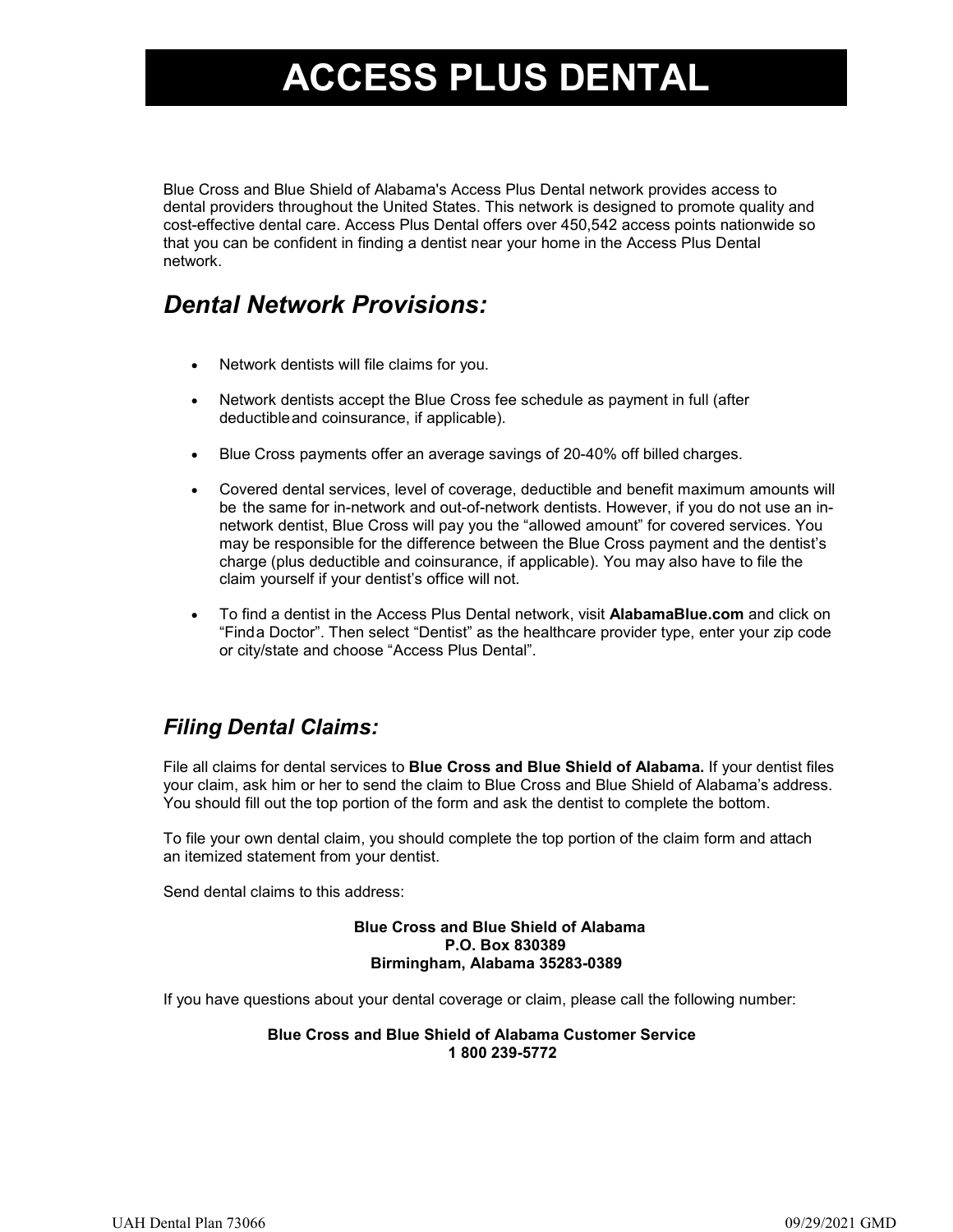## **PREFERRED DENTAL NETWORK ACCESS PLUS DENTAL**

Blue Cross and Blue Shield of Alabama's Access Plus Dental network provides access to dental providers throughout the United States. This network is designed to promote quality and cost-effective dental care. Access Plus Dental offers over 450,542 access points nationwide so that you can be confident in finding a dentist near your home in the Access Plus Dental network.

## *Dental Network Provisions:*

- Network dentists will file claims for you.
- Network dentists accept the Blue Cross fee schedule as payment in full (after deductibleand coinsurance, if applicable).
- Blue Cross payments offer an average savings of 20-40% off billed charges.
- Covered dental services, level of coverage, deductible and benefit maximum amounts will be the same for in-network and out-of-network dentists. However, if you do not use an innetwork dentist, Blue Cross will pay you the "allowed amount" for covered services. You may be responsible for the difference between the Blue Cross payment and the dentist's charge (plus deductible and coinsurance, if applicable). You may also have to file the claim yourself if your dentist's office will not.
- To find a dentist in the Access Plus Dental network, visit **AlabamaBlue.com** and click on "Finda Doctor". Then select "Dentist" as the healthcare provider type, enter your zip code or city/state and choose "Access Plus Dental".

### *Filing Dental Claims:*

File all claims for dental services to **Blue Cross and Blue Shield of Alabama.** If your dentist files your claim, ask him or her to send the claim to Blue Cross and Blue Shield of Alabama's address. You should fill out the top portion of the form and ask the dentist to complete the bottom.

To file your own dental claim, you should complete the top portion of the claim form and attach an itemized statement from your dentist.

Send dental claims to this address:

#### **Blue Cross and Blue Shield of Alabama P.O. Box 830389 Birmingham, Alabama 35283-0389**

If you have questions about your dental coverage or claim, please call the following number:

#### **Blue Cross and Blue Shield of Alabama Customer Service 1 800 239-5772**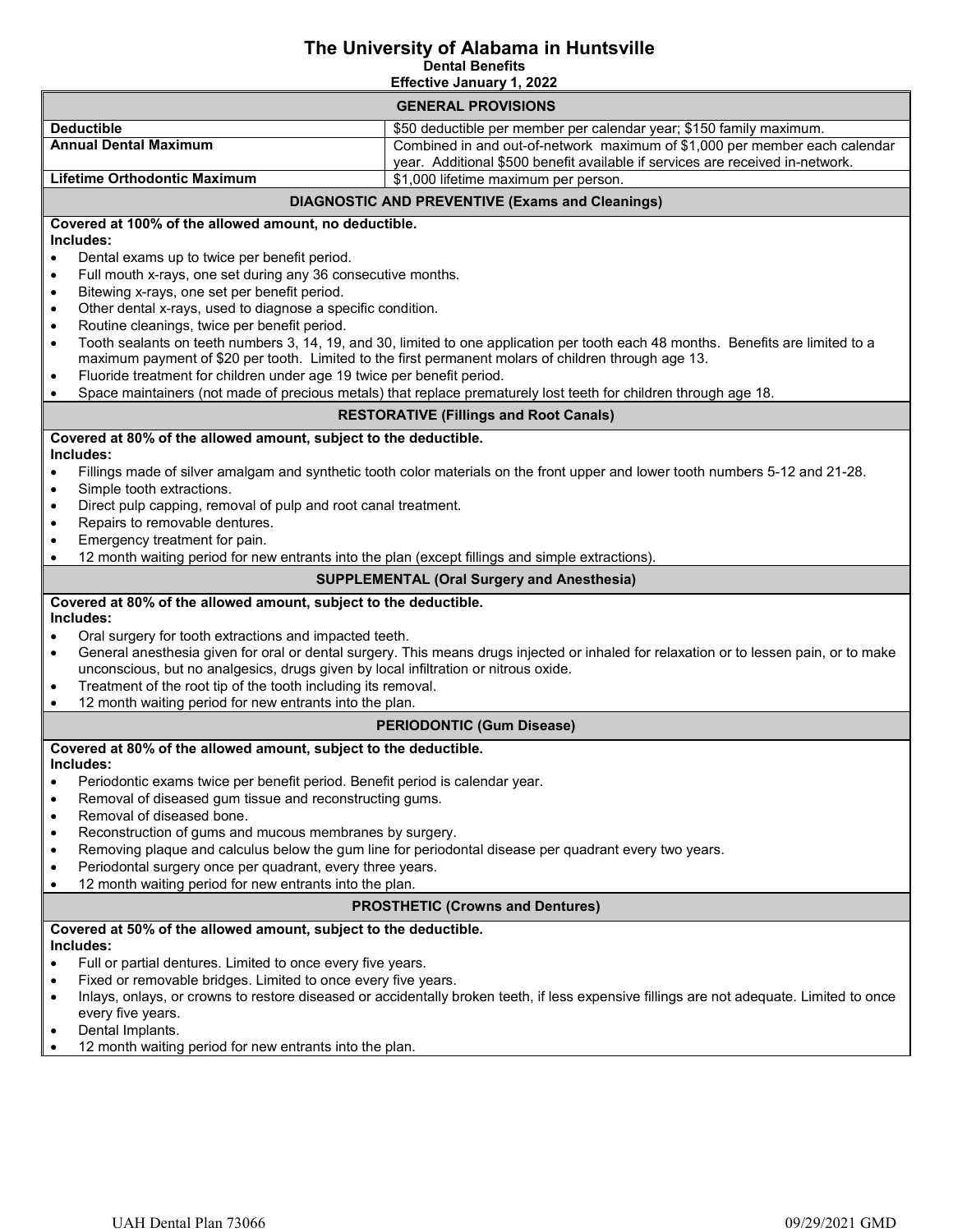## **The University of Alabama in Huntsville Dental Benefits**

 **Effective January 1, 2022**

| <b>GENERAL PROVISIONS</b>                                                                                                                                                     |                                                                                                                  |
|-------------------------------------------------------------------------------------------------------------------------------------------------------------------------------|------------------------------------------------------------------------------------------------------------------|
| <b>Deductible</b>                                                                                                                                                             | \$50 deductible per member per calendar year; \$150 family maximum.                                              |
| <b>Annual Dental Maximum</b>                                                                                                                                                  | Combined in and out-of-network maximum of \$1,000 per member each calendar                                       |
|                                                                                                                                                                               | year. Additional \$500 benefit available if services are received in-network.                                    |
| <b>Lifetime Orthodontic Maximum</b>                                                                                                                                           | \$1,000 lifetime maximum per person.                                                                             |
| <b>DIAGNOSTIC AND PREVENTIVE (Exams and Cleanings)</b>                                                                                                                        |                                                                                                                  |
| Covered at 100% of the allowed amount, no deductible.                                                                                                                         |                                                                                                                  |
| Includes:                                                                                                                                                                     |                                                                                                                  |
| Dental exams up to twice per benefit period.<br>$\bullet$                                                                                                                     |                                                                                                                  |
| Full mouth x-rays, one set during any 36 consecutive months.<br>$\bullet$                                                                                                     |                                                                                                                  |
| Bitewing x-rays, one set per benefit period.<br>$\bullet$                                                                                                                     |                                                                                                                  |
| Other dental x-rays, used to diagnose a specific condition.<br>$\bullet$<br>Routine cleanings, twice per benefit period.<br>$\bullet$                                         |                                                                                                                  |
| Tooth sealants on teeth numbers 3, 14, 19, and 30, limited to one application per tooth each 48 months. Benefits are limited to a<br>$\bullet$                                |                                                                                                                  |
| maximum payment of \$20 per tooth. Limited to the first permanent molars of children through age 13.                                                                          |                                                                                                                  |
| Fluoride treatment for children under age 19 twice per benefit period.<br>$\bullet$                                                                                           |                                                                                                                  |
| $\bullet$                                                                                                                                                                     | Space maintainers (not made of precious metals) that replace prematurely lost teeth for children through age 18. |
| <b>RESTORATIVE (Fillings and Root Canals)</b>                                                                                                                                 |                                                                                                                  |
| Covered at 80% of the allowed amount, subject to the deductible.                                                                                                              |                                                                                                                  |
| Includes:                                                                                                                                                                     |                                                                                                                  |
| Fillings made of silver amalgam and synthetic tooth color materials on the front upper and lower tooth numbers 5-12 and 21-28.<br>$\bullet$                                   |                                                                                                                  |
| Simple tooth extractions.<br>$\bullet$                                                                                                                                        |                                                                                                                  |
| Direct pulp capping, removal of pulp and root canal treatment.<br>$\bullet$                                                                                                   |                                                                                                                  |
| Repairs to removable dentures.<br>$\bullet$                                                                                                                                   |                                                                                                                  |
| Emergency treatment for pain.<br>$\bullet$<br>$\bullet$                                                                                                                       |                                                                                                                  |
| 12 month waiting period for new entrants into the plan (except fillings and simple extractions).                                                                              |                                                                                                                  |
| <b>SUPPLEMENTAL (Oral Surgery and Anesthesia)</b>                                                                                                                             |                                                                                                                  |
| Covered at 80% of the allowed amount, subject to the deductible.<br>Includes:                                                                                                 |                                                                                                                  |
| Oral surgery for tooth extractions and impacted teeth.<br>$\bullet$                                                                                                           |                                                                                                                  |
| General anesthesia given for oral or dental surgery. This means drugs injected or inhaled for relaxation or to lessen pain, or to make<br>$\bullet$                           |                                                                                                                  |
| unconscious, but no analgesics, drugs given by local infiltration or nitrous oxide.                                                                                           |                                                                                                                  |
| Treatment of the root tip of the tooth including its removal.<br>$\bullet$                                                                                                    |                                                                                                                  |
| 12 month waiting period for new entrants into the plan.<br>$\bullet$                                                                                                          |                                                                                                                  |
| <b>PERIODONTIC (Gum Disease)</b>                                                                                                                                              |                                                                                                                  |
| Covered at 80% of the allowed amount, subject to the deductible.                                                                                                              |                                                                                                                  |
| Includes:                                                                                                                                                                     |                                                                                                                  |
| Periodontic exams twice per benefit period. Benefit period is calendar year.                                                                                                  |                                                                                                                  |
| Removal of diseased gum tissue and reconstructing gums.<br>$\bullet$                                                                                                          |                                                                                                                  |
| Removal of diseased bone.<br>$\bullet$                                                                                                                                        |                                                                                                                  |
| Reconstruction of gums and mucous membranes by surgery.<br>$\bullet$<br>Removing plaque and calculus below the gum line for periodontal disease per quadrant every two years. |                                                                                                                  |
| $\bullet$                                                                                                                                                                     |                                                                                                                  |
| Periodontal surgery once per quadrant, every three years.<br>$\bullet$<br>12 month waiting period for new entrants into the plan.<br>$\bullet$                                |                                                                                                                  |
| <b>PROSTHETIC (Crowns and Dentures)</b>                                                                                                                                       |                                                                                                                  |
| Covered at 50% of the allowed amount, subject to the deductible.                                                                                                              |                                                                                                                  |
| Includes:                                                                                                                                                                     |                                                                                                                  |
| Full or partial dentures. Limited to once every five years.<br>$\bullet$                                                                                                      |                                                                                                                  |
| Fixed or removable bridges. Limited to once every five years.<br>$\bullet$                                                                                                    |                                                                                                                  |
| Inlays, onlays, or crowns to restore diseased or accidentally broken teeth, if less expensive fillings are not adequate. Limited to once<br>$\bullet$                         |                                                                                                                  |
| every five years.                                                                                                                                                             |                                                                                                                  |
| Dental Implants.<br>$\bullet$                                                                                                                                                 |                                                                                                                  |
| 12 month waiting period for new entrants into the plan.                                                                                                                       |                                                                                                                  |